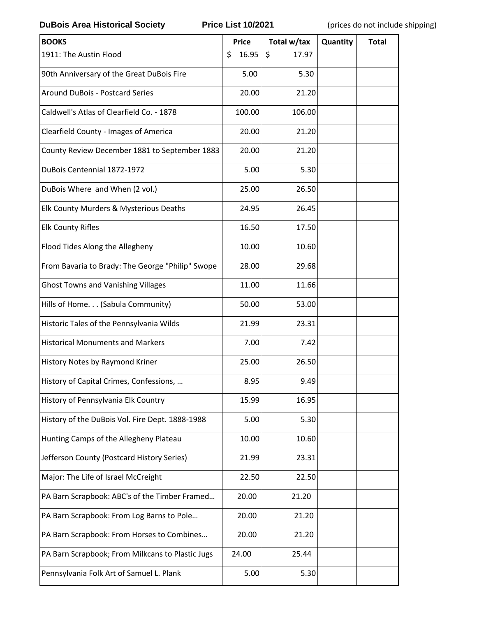**DuBois Area Historical Society Price List 10/2021** (prices do not include shipping)

| <b>BOOKS</b>                                     | <b>Price</b> | Total w/tax | Quantity | <b>Total</b> |
|--------------------------------------------------|--------------|-------------|----------|--------------|
| 1911: The Austin Flood                           | \$<br>16.95  | \$<br>17.97 |          |              |
| 90th Anniversary of the Great DuBois Fire        | 5.00         | 5.30        |          |              |
| <b>Around DuBois - Postcard Series</b>           | 20.00        | 21.20       |          |              |
| Caldwell's Atlas of Clearfield Co. - 1878        | 100.00       | 106.00      |          |              |
| Clearfield County - Images of America            | 20.00        | 21.20       |          |              |
| County Review December 1881 to September 1883    | 20.00        | 21.20       |          |              |
| DuBois Centennial 1872-1972                      | 5.00         | 5.30        |          |              |
| DuBois Where and When (2 vol.)                   | 25.00        | 26.50       |          |              |
| Elk County Murders & Mysterious Deaths           | 24.95        | 26.45       |          |              |
| <b>Elk County Rifles</b>                         | 16.50        | 17.50       |          |              |
| Flood Tides Along the Allegheny                  | 10.00        | 10.60       |          |              |
| From Bavaria to Brady: The George "Philip" Swope | 28.00        | 29.68       |          |              |
| <b>Ghost Towns and Vanishing Villages</b>        | 11.00        | 11.66       |          |              |
| Hills of Home. (Sabula Community)                | 50.00        | 53.00       |          |              |
| Historic Tales of the Pennsylvania Wilds         | 21.99        | 23.31       |          |              |
| <b>Historical Monuments and Markers</b>          | 7.00         | 7.42        |          |              |
| History Notes by Raymond Kriner                  | 25.00        | 26.50       |          |              |
| History of Capital Crimes, Confessions,          | 8.95         | 9.49        |          |              |
| History of Pennsylvania Elk Country              | 15.99        | 16.95       |          |              |
| History of the DuBois Vol. Fire Dept. 1888-1988  | 5.00         | 5.30        |          |              |
| Hunting Camps of the Allegheny Plateau           | 10.00        | 10.60       |          |              |
| Jefferson County (Postcard History Series)       | 21.99        | 23.31       |          |              |
| Major: The Life of Israel McCreight              | 22.50        | 22.50       |          |              |
| PA Barn Scrapbook: ABC's of the Timber Framed    | 20.00        | 21.20       |          |              |
| PA Barn Scrapbook: From Log Barns to Pole        | 20.00        | 21.20       |          |              |
| PA Barn Scrapbook: From Horses to Combines       | 20.00        | 21.20       |          |              |
| PA Barn Scrapbook; From Milkcans to Plastic Jugs | 24.00        | 25.44       |          |              |
| Pennsylvania Folk Art of Samuel L. Plank         | 5.00         | 5.30        |          |              |